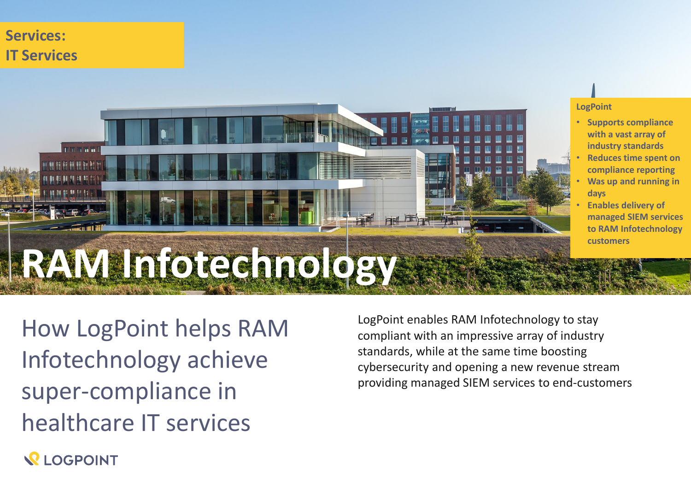# **Services: IT Services**



#### **LogPoint**

- **Supports compliance with a vast array of industry standards**
- **Reduces time spent on compliance reporting**
- **Was up and running in days**
- **Enables delivery of managed SIEM services to RAM Infotechnology customers**

How LogPoint helps RAM Infotechnology achieve super-compliance in healthcare IT services

LogPoint enables RAM Infotechnology to stay compliant with an impressive array of industry standards, while at the same time boosting cybersecurity and opening a new revenue stream providing managed SIEM services to end-customers

**REOGPOINT**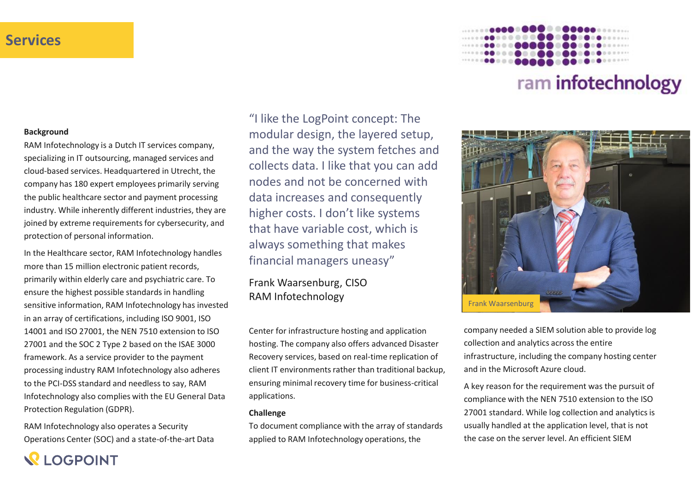# **Services**

# ram infotechnology



company needed a SIEM solution able to provide log collection and analytics across the entire infrastructure, including the company hosting center and in the Microsoft Azure cloud.

A key reason for the requirement was the pursuit of compliance with the NEN 7510 extension to the ISO 27001 standard. While log collection and analytics is usually handled at the application level, that is not the case on the server level. An efficient SIEM

#### **Background**

RAM Infotechnology is a Dutch IT services company, specializing in IT outsourcing, managed services and cloud-based services. Headquartered in Utrecht, the company has 180 expert employees primarily serving the public healthcare sector and payment processing industry. While inherently different industries, they are joined by extreme requirements for cybersecurity, and protection of personal information.

In the Healthcare sector, RAM Infotechnology handles more than 15 million electronic patient records, primarily within elderly care and psychiatric care. To ensure the highest possible standards in handling sensitive information, RAM Infotechnology has invested in an array of certifications, including ISO 9001, ISO 14001 and ISO 27001, the NEN 7510 extension to ISO 27001 and the SOC 2 Type 2 based on the ISAE 3000 framework. As a service provider to the payment processing industry RAM Infotechnology also adheres to the PCI-DSS standard and needless to say, RAM Infotechnology also complies with the EU General Data Protection Regulation (GDPR).

RAM Infotechnology also operates a Security Operations Center (SOC) and a state-of-the-art Data

**VI OGPOINT** 

"I like the LogPoint concept: The modular design, the layered setup, and the way the system fetches and collects data. I like that you can add nodes and not be concerned with data increases and consequently higher costs. I don't like systems that have variable cost, which is always something that makes financial managers uneasy"

Frank Waarsenburg, CISO RAM Infotechnology

Center for infrastructure hosting and application hosting. The company also offers advanced Disaster Recovery services, based on real-time replication of client IT environments rather than traditional backup, ensuring minimal recovery time for business-critical applications.

#### **Challenge**

To document compliance with the array of standards applied to RAM Infotechnology operations, the